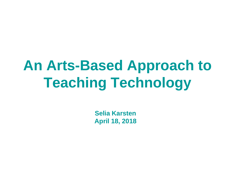# **An Arts-Based Approach to Teaching Technology**

**Selia Karsten April 18, 2018**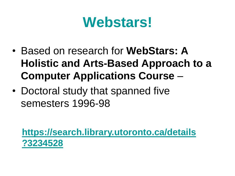## **Webstars!**

- Based on research for **WebStars: A Holistic and Arts-Based Approach to a Computer Applications Course** –
- Doctoral study that spanned five semesters 1996-98

**[https://search.library.utoronto.ca/details](https://search.library.utoronto.ca/details?3234528) [?3234528](https://search.library.utoronto.ca/details?3234528)**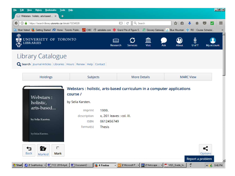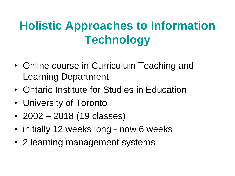### **Holistic Approaches to Information Technology**

- Online course in Curriculum Teaching and Learning Department
- Ontario Institute for Studies in Education
- University of Toronto
- 2002 2018 (19 classes)
- initially 12 weeks long now 6 weeks
- 2 learning management systems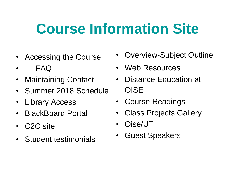# **Course Information Site**

- Accessing the Course
- FAQ
- Maintaining Contact
- Summer 2018 Schedule
- Library Access
- BlackBoard Portal
- C2C site
- Student testimonials
- Overview-Subject Outline
- Web Resources
- Distance Education at **OISE**
- Course Readings
- Class Projects Gallery
- Oise/UT
- Guest Speakers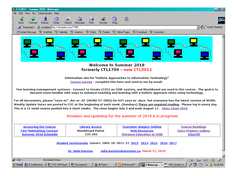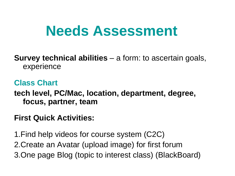## **Needs Assessment**

**Survey technical abilities** – a form: to ascertain goals, experience

**Class Chart tech level, PC/Mac, location, department, degree, focus, partner, team**

#### **First Quick Activities:**

1.Find help videos for course system (C2C) 2.Create an Avatar (upload image) for first forum 3.One page Blog (topic to interest class) (BlackBoard)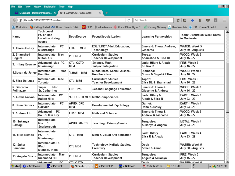File Edit View History Bookmarks Tools Help

3 (3 unread) - drkarsten@rogers... x 5011 Summer 2017 Class Chart

 $x +$ 

口回凶

| Records the Most Visited Contain Started Custom Home : Toronto Public Custom Custom Custom 1999 Grand Prix of Figure S. Custom 1999 Grocery Gateway And Blue Mountain Star RO :: Course Schedul<br>$\rightarrow$<br>$\blacksquare$<br><b>Tech Level</b><br>PC or Mac<br><b>Team/ Discussion Week Dates</b><br>Dept/Degree<br><b>Learning Partnerships</b><br>Focus/Specialization<br>Location during<br>to Moderate<br>course<br>WATER: Week 5<br>Intermediate<br>PC<br><b>ESL/ LINC/ Adult Education,</b><br>Emerald: Thora, Andrew,<br>LHAE MEd<br>Mississauga<br>Technology<br>Giacomo<br>July 30 - August 5<br>Intermediate Mac<br>WOOD: Week 3<br>Curriculum Studies<br>Topaz:<br><b>CTL MEd</b><br>Shamshad & Elisa DL<br>Milton, ON<br><b>Teacher Development</b><br>July 16 - 22<br>Advanced Mac PC<br>CTL: CSTD<br>FIRE: Week 3<br>Science, Math<br>Jade: Hilary & Alexis<br>Mississauga<br><b>Subject Integration</b><br>MEd<br>& Elisa R.<br>July 16 - 22<br>Mindfulness, Social Justice,<br>WOOD: Week 3<br>Intermediate<br>Diamond:<br>Mac<br>*LHAE MEd<br>Hamilton<br>Neoliberalism<br>Susan & Sagal & Elise<br>July 16 - 22<br>FIRE: Week 3<br>Intermediate Mac<br>Curriculum Studies<br>Topaz:<br><b>CTL MEd</b><br>Elisa DL & Shamshad<br><b>Teacher Development</b><br>Toronto<br>July 16 - 22<br>Mac<br>Emerald: Thora &<br>WOOD: Week 3<br>Super<br>LLE PhD<br>Second Language Education<br><b>St. Catherines</b><br>Giacomo & Andrew<br>July 16 - 22<br>PC<br><b>EARTH: Week 4</b><br>Intermediate<br>Jade: Hilary &<br>*CTL CSTD MEd Math/CompScience<br><b>Halton Hills</b><br>Alexis & Elisa R<br>July 23 - 29<br>PC<br><b>APHD: DPE</b><br>EARTH: Week 4<br>Intermediate<br>Garnet:<br>Developmental Psychology<br>Oakville<br><b>MEd</b><br>Dana & Ashley<br>July 23 - 29<br>WOOD: Week 3<br>Advanced<br>PC<br>Emerald: Thora &<br>LHAE MEd<br><b>Math and Science</b><br>Ho Chi Min City<br>Andrew & Giacomo<br>July 16 - 22<br>Intermediate<br><b>METAL: Week 4</b><br>Turquoise:<br><b>APHD MACSE</b><br>Mac 1<br>Teaching - Primary/Junior<br>Sukanya & Angela<br>July 23 - 29<br>Scarborough<br>Intermediate<br><b>EARTH: Week 4</b><br>Jade: Hilary<br>PС<br>CTL MEd<br>Math & Visual Arts Education<br>1<br>Elisa R & Alexis<br>July 23 - 29<br>Mississauga<br>Intermediate PC<br><b>WATER: Week 5</b><br>Technology, Holistic Studies,<br>Opal:<br><b>CTL MEd</b><br>iPad<br>Saher & Amna<br>Creativity<br>July 30 - August 5<br>Mumbai, India<br>Mac<br>Curriculum Studies<br>FIRE: Week 3<br>Intermediate<br>Turquoise:<br><b>CTL MEd</b><br><b>Richmond Hill</b><br><b>Teacher Development</b><br>Angela & Sukanya<br>July 16 - 22<br><b>Advanced</b><br>DC.<br>CTI ICSTD<br>Onal.<br>MATED. Mook 5<br>Ð<br>Start 2 2 SeaMonkey v W 2 Microsoft  v 3 Firefox<br>« <b>M</b> 10:28 PM | ☆<br>自<br>合<br>$\sqrt{2}$<br>$\equiv$<br>Q Search<br>$\triangledown$<br>(i) file:///D:/1799-2017/2017class.html<br>C |  |  |                                                    |                        |  |  |  |  |
|--------------------------------------------------------------------------------------------------------------------------------------------------------------------------------------------------------------------------------------------------------------------------------------------------------------------------------------------------------------------------------------------------------------------------------------------------------------------------------------------------------------------------------------------------------------------------------------------------------------------------------------------------------------------------------------------------------------------------------------------------------------------------------------------------------------------------------------------------------------------------------------------------------------------------------------------------------------------------------------------------------------------------------------------------------------------------------------------------------------------------------------------------------------------------------------------------------------------------------------------------------------------------------------------------------------------------------------------------------------------------------------------------------------------------------------------------------------------------------------------------------------------------------------------------------------------------------------------------------------------------------------------------------------------------------------------------------------------------------------------------------------------------------------------------------------------------------------------------------------------------------------------------------------------------------------------------------------------------------------------------------------------------------------------------------------------------------------------------------------------------------------------------------------------------------------------------------------------------------------------------------------------------------------------------------------------------------------------------------------------------------------------------------------------------------------------------------------------------------------------------------------------------------------------------------------------------------------------------------------------------------------------------------------------------------------------------------------------------------------------------------------------------------------------------------------------------|----------------------------------------------------------------------------------------------------------------------|--|--|----------------------------------------------------|------------------------|--|--|--|--|
|                                                                                                                                                                                                                                                                                                                                                                                                                                                                                                                                                                                                                                                                                                                                                                                                                                                                                                                                                                                                                                                                                                                                                                                                                                                                                                                                                                                                                                                                                                                                                                                                                                                                                                                                                                                                                                                                                                                                                                                                                                                                                                                                                                                                                                                                                                                                                                                                                                                                                                                                                                                                                                                                                                                                                                                                                          |                                                                                                                      |  |  |                                                    |                        |  |  |  |  |
|                                                                                                                                                                                                                                                                                                                                                                                                                                                                                                                                                                                                                                                                                                                                                                                                                                                                                                                                                                                                                                                                                                                                                                                                                                                                                                                                                                                                                                                                                                                                                                                                                                                                                                                                                                                                                                                                                                                                                                                                                                                                                                                                                                                                                                                                                                                                                                                                                                                                                                                                                                                                                                                                                                                                                                                                                          | Name                                                                                                                 |  |  |                                                    |                        |  |  |  |  |
|                                                                                                                                                                                                                                                                                                                                                                                                                                                                                                                                                                                                                                                                                                                                                                                                                                                                                                                                                                                                                                                                                                                                                                                                                                                                                                                                                                                                                                                                                                                                                                                                                                                                                                                                                                                                                                                                                                                                                                                                                                                                                                                                                                                                                                                                                                                                                                                                                                                                                                                                                                                                                                                                                                                                                                                                                          | 1. Thora Al-Jury                                                                                                     |  |  |                                                    |                        |  |  |  |  |
|                                                                                                                                                                                                                                                                                                                                                                                                                                                                                                                                                                                                                                                                                                                                                                                                                                                                                                                                                                                                                                                                                                                                                                                                                                                                                                                                                                                                                                                                                                                                                                                                                                                                                                                                                                                                                                                                                                                                                                                                                                                                                                                                                                                                                                                                                                                                                                                                                                                                                                                                                                                                                                                                                                                                                                                                                          | 2. Shamshad<br>Begum                                                                                                 |  |  |                                                    |                        |  |  |  |  |
|                                                                                                                                                                                                                                                                                                                                                                                                                                                                                                                                                                                                                                                                                                                                                                                                                                                                                                                                                                                                                                                                                                                                                                                                                                                                                                                                                                                                                                                                                                                                                                                                                                                                                                                                                                                                                                                                                                                                                                                                                                                                                                                                                                                                                                                                                                                                                                                                                                                                                                                                                                                                                                                                                                                                                                                                                          | 3. Hilary Browne                                                                                                     |  |  |                                                    |                        |  |  |  |  |
|                                                                                                                                                                                                                                                                                                                                                                                                                                                                                                                                                                                                                                                                                                                                                                                                                                                                                                                                                                                                                                                                                                                                                                                                                                                                                                                                                                                                                                                                                                                                                                                                                                                                                                                                                                                                                                                                                                                                                                                                                                                                                                                                                                                                                                                                                                                                                                                                                                                                                                                                                                                                                                                                                                                                                                                                                          | 4. Susan de Jonge                                                                                                    |  |  |                                                    |                        |  |  |  |  |
|                                                                                                                                                                                                                                                                                                                                                                                                                                                                                                                                                                                                                                                                                                                                                                                                                                                                                                                                                                                                                                                                                                                                                                                                                                                                                                                                                                                                                                                                                                                                                                                                                                                                                                                                                                                                                                                                                                                                                                                                                                                                                                                                                                                                                                                                                                                                                                                                                                                                                                                                                                                                                                                                                                                                                                                                                          | 5. Elisa De Luca                                                                                                     |  |  |                                                    |                        |  |  |  |  |
|                                                                                                                                                                                                                                                                                                                                                                                                                                                                                                                                                                                                                                                                                                                                                                                                                                                                                                                                                                                                                                                                                                                                                                                                                                                                                                                                                                                                                                                                                                                                                                                                                                                                                                                                                                                                                                                                                                                                                                                                                                                                                                                                                                                                                                                                                                                                                                                                                                                                                                                                                                                                                                                                                                                                                                                                                          | 6. Giacomo<br>Folinazzo                                                                                              |  |  |                                                    |                        |  |  |  |  |
|                                                                                                                                                                                                                                                                                                                                                                                                                                                                                                                                                                                                                                                                                                                                                                                                                                                                                                                                                                                                                                                                                                                                                                                                                                                                                                                                                                                                                                                                                                                                                                                                                                                                                                                                                                                                                                                                                                                                                                                                                                                                                                                                                                                                                                                                                                                                                                                                                                                                                                                                                                                                                                                                                                                                                                                                                          | 7. Alexis Galvao                                                                                                     |  |  |                                                    |                        |  |  |  |  |
|                                                                                                                                                                                                                                                                                                                                                                                                                                                                                                                                                                                                                                                                                                                                                                                                                                                                                                                                                                                                                                                                                                                                                                                                                                                                                                                                                                                                                                                                                                                                                                                                                                                                                                                                                                                                                                                                                                                                                                                                                                                                                                                                                                                                                                                                                                                                                                                                                                                                                                                                                                                                                                                                                                                                                                                                                          | 8. Dana Garlock                                                                                                      |  |  |                                                    |                        |  |  |  |  |
|                                                                                                                                                                                                                                                                                                                                                                                                                                                                                                                                                                                                                                                                                                                                                                                                                                                                                                                                                                                                                                                                                                                                                                                                                                                                                                                                                                                                                                                                                                                                                                                                                                                                                                                                                                                                                                                                                                                                                                                                                                                                                                                                                                                                                                                                                                                                                                                                                                                                                                                                                                                                                                                                                                                                                                                                                          | 9. Andrew Lin                                                                                                        |  |  |                                                    |                        |  |  |  |  |
|                                                                                                                                                                                                                                                                                                                                                                                                                                                                                                                                                                                                                                                                                                                                                                                                                                                                                                                                                                                                                                                                                                                                                                                                                                                                                                                                                                                                                                                                                                                                                                                                                                                                                                                                                                                                                                                                                                                                                                                                                                                                                                                                                                                                                                                                                                                                                                                                                                                                                                                                                                                                                                                                                                                                                                                                                          | 10. Sukanya<br>Rastogi                                                                                               |  |  |                                                    |                        |  |  |  |  |
|                                                                                                                                                                                                                                                                                                                                                                                                                                                                                                                                                                                                                                                                                                                                                                                                                                                                                                                                                                                                                                                                                                                                                                                                                                                                                                                                                                                                                                                                                                                                                                                                                                                                                                                                                                                                                                                                                                                                                                                                                                                                                                                                                                                                                                                                                                                                                                                                                                                                                                                                                                                                                                                                                                                                                                                                                          | 11. Elisa Romeo                                                                                                      |  |  |                                                    |                        |  |  |  |  |
|                                                                                                                                                                                                                                                                                                                                                                                                                                                                                                                                                                                                                                                                                                                                                                                                                                                                                                                                                                                                                                                                                                                                                                                                                                                                                                                                                                                                                                                                                                                                                                                                                                                                                                                                                                                                                                                                                                                                                                                                                                                                                                                                                                                                                                                                                                                                                                                                                                                                                                                                                                                                                                                                                                                                                                                                                          | 12. Saher<br>Samnani                                                                                                 |  |  |                                                    |                        |  |  |  |  |
|                                                                                                                                                                                                                                                                                                                                                                                                                                                                                                                                                                                                                                                                                                                                                                                                                                                                                                                                                                                                                                                                                                                                                                                                                                                                                                                                                                                                                                                                                                                                                                                                                                                                                                                                                                                                                                                                                                                                                                                                                                                                                                                                                                                                                                                                                                                                                                                                                                                                                                                                                                                                                                                                                                                                                                                                                          | 13. Angela Sforza                                                                                                    |  |  |                                                    |                        |  |  |  |  |
|                                                                                                                                                                                                                                                                                                                                                                                                                                                                                                                                                                                                                                                                                                                                                                                                                                                                                                                                                                                                                                                                                                                                                                                                                                                                                                                                                                                                                                                                                                                                                                                                                                                                                                                                                                                                                                                                                                                                                                                                                                                                                                                                                                                                                                                                                                                                                                                                                                                                                                                                                                                                                                                                                                                                                                                                                          |                                                                                                                      |  |  | <b>G</b> 2 Microsoft P $\star$ <b>N</b> 2 Netscape | VQS_Guide_fo 1799-2017 |  |  |  |  |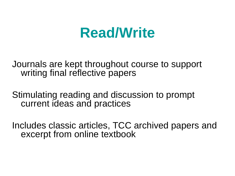### **Read/Write**

Journals are kept throughout course to support writing final reflective papers

Stimulating reading and discussion to prompt current ideas and practices

Includes classic articles, TCC archived papers and excerpt from online textbook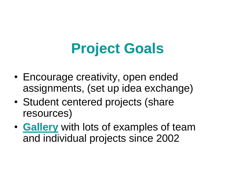# **Project Goals**

- Encourage creativity, open ended assignments, (set up idea exchange)
- Student centered projects (share resources)
- **[Gallery](http://astralsite.com/gallery)** with lots of examples of team and individual projects since 2002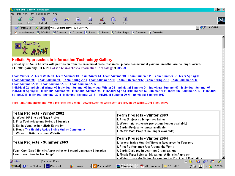|                   |                                                                                                                                                                                                                                                                                                                                                                                                                                                                                                                                                             |  | ※ 1799-5011Gallery - Netscape |      |                          |                 |       |          |      |      |                                                                                                         | $\Box$ el $\times$ |
|-------------------|-------------------------------------------------------------------------------------------------------------------------------------------------------------------------------------------------------------------------------------------------------------------------------------------------------------------------------------------------------------------------------------------------------------------------------------------------------------------------------------------------------------------------------------------------------------|--|-------------------------------|------|--------------------------|-----------------|-------|----------|------|------|---------------------------------------------------------------------------------------------------------|--------------------|
|                   | File Edit                                                                                                                                                                                                                                                                                                                                                                                                                                                                                                                                                   |  | View Go Communicator Help     |      |                          |                 |       |          |      |      |                                                                                                         |                    |
| <b>Experience</b> |                                                                                                                                                                                                                                                                                                                                                                                                                                                                                                                                                             |  |                               | 登    | $\overline{\mathscr{P}}$ | [My]            |       | ▼■       |      | 3    |                                                                                                         |                    |
|                   | <b>Back</b>                                                                                                                                                                                                                                                                                                                                                                                                                                                                                                                                                 |  | Forward Reload                | Home |                          | Search Netscape | Print | Security | Shop | Stop |                                                                                                         |                    |
| 휇                 | Example of Bookmarks & Location: http://astralsite.com/1799/gallery.html<br>$\overline{\phantom{a}}$ $\overline{\phantom{a}}$ $\overline{\phantom{a}}$ $\overline{\phantom{a}}$ $\overline{\phantom{a}}$ $\overline{\phantom{a}}$ $\overline{\phantom{a}}$ $\overline{\phantom{a}}$ $\overline{\phantom{a}}$ $\overline{\phantom{a}}$ $\overline{\phantom{a}}$ $\overline{\phantom{a}}$ $\overline{\phantom{a}}$ $\overline{\phantom{a}}$ $\overline{\phantom{a}}$ $\overline{\phantom{a}}$ $\overline{\phantom{a}}$ $\overline{\phantom{a}}$ $\overline{\$ |  |                               |      |                          |                 |       |          |      |      |                                                                                                         |                    |
| 죎.                |                                                                                                                                                                                                                                                                                                                                                                                                                                                                                                                                                             |  |                               |      |                          |                 |       |          |      |      | 圖Instant Message 网 WebMail 网 Calendar 网 Graphics 网 Radio 网 People 网 Yellow Pages 网 Download 网 Customize |                    |
|                   |                                                                                                                                                                                                                                                                                                                                                                                                                                                                                                                                                             |  |                               |      |                          |                 |       |          |      |      |                                                                                                         |                    |



#### **Holistic Approaches to Information Technology Gallery**

posted by Dr. Selia Karsten with permission from the creators of these resources - please contact me if you find links that are no longer active. CTL 5011 (formerly CTL1799) Holistic Approaches to Information Technology at OISE/UT

Team Winter 02 Team Winter 03Team Summer 03 Team Winter 04 Team Summer 04 Team Summer 05 Team Summer 07 Team Spring 08 Team Summer 08 Team Summer 09 Team Spring 2010 Team Summer 2011 Team Summer 2012 Team Spring 2013 Team Summer 2014 Team Summer 2015 Team Summer 2016 Team Summer 2017 Individual 02 Individual Winter 03 Individual Summer 03 Individual Winter 04 Individual Summer 04 Individual Summer 05 Individual Summer 07

Individual Spring 08 Individual Summer 08 Individual Summer 09 Individual Spring 2010 Individual Summer 2011 Individual Summer 2012 Individual Spring 2013 Individual Summer 2014 Individual Summer 2015 Individual Summer 2016 Individual Summer 2017

Important Announcement! Web projects done with freewebs.com or webs.com are frozen by WEBS.COM if not active.

| Team Projects - Winter 2002 <br>1. Wood: KF Site and Maya Project<br>2. Fire: Technology and Holistic Education <br>∥3. Earth: Ventures in Holistic Education∶<br>4. Metal: The Healthy Active Living Online Community<br>∣5. Water: Holistic Teachers' Website∶ | Team Projects - Winter 2003<br>1. Fire: (Project no longer available).<br>2. Water: Interactivearts project (no longer available)<br>3. Earth: (Project no longer available)<br>4. Metal: Math Project (no longer available)                                                                                         |  |  |  |  |  |
|------------------------------------------------------------------------------------------------------------------------------------------------------------------------------------------------------------------------------------------------------------------|----------------------------------------------------------------------------------------------------------------------------------------------------------------------------------------------------------------------------------------------------------------------------------------------------------------------|--|--|--|--|--|
| Team Projects - Summer 2003<br>Team One (Earth) Holistic Approaches to Second Language Education_<br>Team Two: New to Teaching?                                                                                                                                  | Team Projects - Winter 2004<br>1. Wood: Inside Out: Self Esteem Resources for Teachers<br>2. Fire: Performance Arts Around the World<br>3. Earth: Dialoque in Learning Organizations.<br>4. Metal: Mars: Science Education - A Holistic Approach<br>5. Water: Oasis: An Online Ashram for the Practice of Meditation |  |  |  |  |  |
| p -d-<br>Document: Done                                                                                                                                                                                                                                          | 9.B.<br>- 12<br>- AP<br>EA.                                                                                                                                                                                                                                                                                          |  |  |  |  |  |
| Start 2 2 SeaMonkey v TV 2 Microsoft<br>$\mathbf{F}$ 3 Firefox                                                                                                                                                                                                   | → G 2 Microsoft P → B 2 Netscap → C VQS_Guide_fo 1799-2017<br>$\ell$ $\mathbb{Z}$ $\mathbb{Z}$<br><b>M</b> , 10:30 PM                                                                                                                                                                                                |  |  |  |  |  |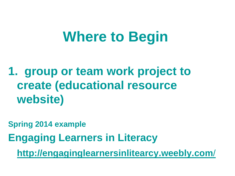## **Where to Begin**

**1. group or team work project to create (educational resource website)**

**Spring 2014 example**

**Engaging Learners in Literacy** 

**[http://engaginglearnersinlitearcy.weebly.com](http://engaginglearnersinlitearcy.weebly.com/)**[/](http://engaginglearnersinlitearcy.weebly.com/)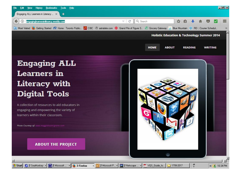

 $\sqrt{2}$  2 Microsoft P...  $\sim$   $\sqrt{2}$  2 Netscape ...  $\sim$   $\sqrt{2}$  VQS\_Guide\_fo...

o

1799-2017

 $\frac{B}{I}$ 

« 6 10:34 PM

#### **Engaging ALL Learners** in **Literacy with Digital Tools**

A collection of resources to aid educators in engaging and empowering the variety of learners within their classroom.

Photo Courtesy of: www.magglehosmcgrane.com

#### **ABOUT THE PROJECT**

M 2 Microsoft ... - 3 Firefox

Start 2 SeaMonkey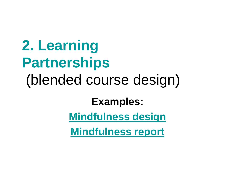**2. Learning Partnerships** (blended course design)

#### **Examples:**

**[Mindfulness design](http://astralsite.com/1799/1799Reading5-CourseDesigns.html)**

**[Mindfulness report](http://astralsite.com/1799/Mindfulness-Report.pdf)**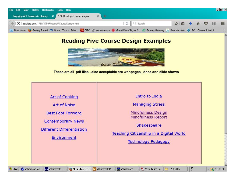

#### **Reading Five Course Design Examples**



These are all .pdf files - also acceptable are webpages, .docs and slide shows

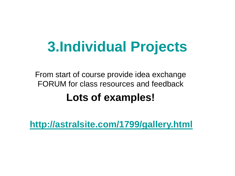# **3.Individual Projects**

From start of course provide idea exchange FORUM for class resources and feedback **Lots of examples!**

**<http://astralsite.com/1799/gallery.html>**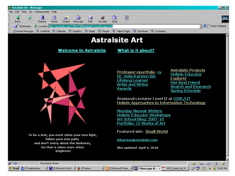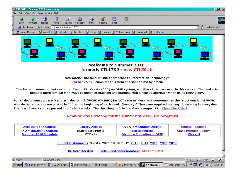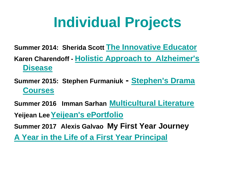# **Individual Projects**

**Summer 2014: Sherida Scott [The Innovative Educator](https://theinnovativeeducator.weebly.com/) Karen Charendoff - [Holistic Approach to Alzheimer's](http://kcharendof.wixsite.com/alzheimer)  [Disease](http://kcharendof.wixsite.com/alzheimer)**

**Summer 2015: Stephen Furmaniuk - [Stephen's Drama](https://mrfurmaniuk.weebly.com/)  [Courses](https://mrfurmaniuk.weebly.com/)**

**Summer 2016 Imman Sarhan [Multicultural Literature](http://immansarhan0.wixsite.com/multilit)**

**Yeijean Lee[Yeijean's ePortfolio](http://yeijeanlee.wixsite.com/portfolio)**

**Summer 2017 Alexis Galvao My First Year Journey**

**[A Year in the Life of a First Year Principal](https://alexisdgalvao.weebly.com/)**